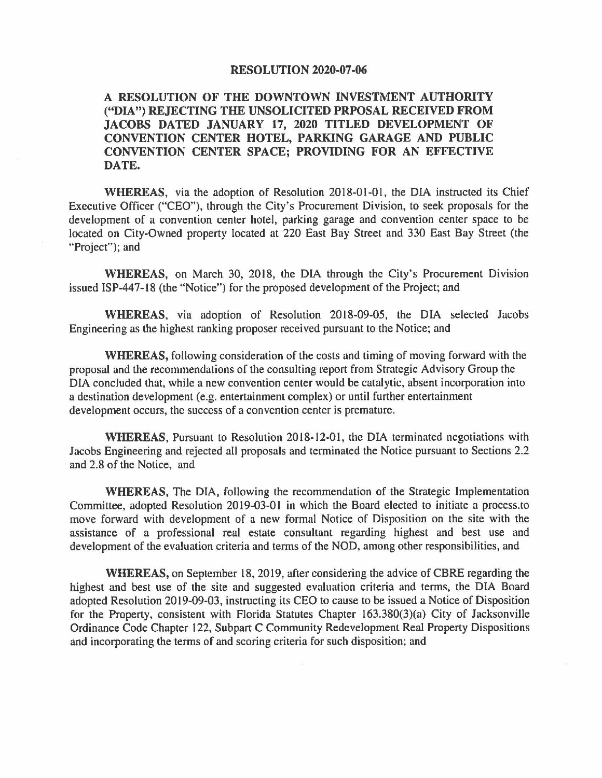## **RESOLUTION 2020-07-06**

## **A RESOLUTION OF THE DOWNTOWN INVESTMENT AUTHORITY ("DIA") REJECTING THE UNSOLICITED PRPOSAL RECEIVED FROM JACOBS DATED JANUARY 17, 2020 TITLED DEVELOPMENT OF CONVENTION CENTER HOTEL, PARKING GARAGE AND PUBLIC CONVENTION CENTER SPACE; PROVIDING FOR AN EFFECTIVE DATE.**

**WHEREAS,** via the adoption of Resolution 2018-01-01, the DIA instructed its Chief Executive Officer ("CEO"), through the City's Procurement Division, to seek proposals for the development of a convention center hotel, parking garage and convention center space to be located on City-Owned property located at 220 East Bay Street and 330 East Bay Street (the "Project"); and

**WHEREAS,** on March 30, 2018, the DIA through the City's Procurement Division issued ISP-447-18 (the "Notice") for the proposed development of the Project; and

**WHEREAS,** via adoption of Resolution 2018-09-05, the DIA selected Jacobs Engineering as the highest ranking proposer received pursuant to the Notice; and

**WHEREAS,** following consideration of the costs and timing of moving forward with the proposal and the recommendations of the consulting report from Strategic Advisory Group the DIA concluded that, while a new convention center would be catalytic, absent incorporation into a destination development (e.g. entertainment complex) or until further entertainment development occurs, the success of a convention center is premature.

**WHEREAS,** Pursuant to Resolution 2018-12-01, the DIA terminated negotiations with Jacobs Engineering and rejected all proposals and terminated the Notice pursuant to Sections 2.2 and 2.8 of the Notice, and

**WHEREAS,** The DIA, following the recommendation of the Strategic Implementation Committee, adopted Resolution 2019-03-01 in which the Board elected to initiate a process.to move forward with development of a new formal Notice of Disposition on the site with the assistance of a professional real estate consultant regarding highest and best use and development of the evaluation criteria and terms of the NOD, among other responsibilities, and

**WHEREAS,** on September 18, 2019, after considering the advice of CBRE regarding the highest and best use of the site and suggested evaluation criteria and terms, the DIA Board adopted Resolution 2019-09-03, instructing its CEO to cause to be issued a Notice of Disposition for the Property, consistent with Florida Statutes Chapter 163.380(3)(a) City of Jacksonville Ordinance Code Chapter 122, Subpart C Community Redevelopment Real Property Dispositions and incorporating the terms of and scoring criteria for such disposition; and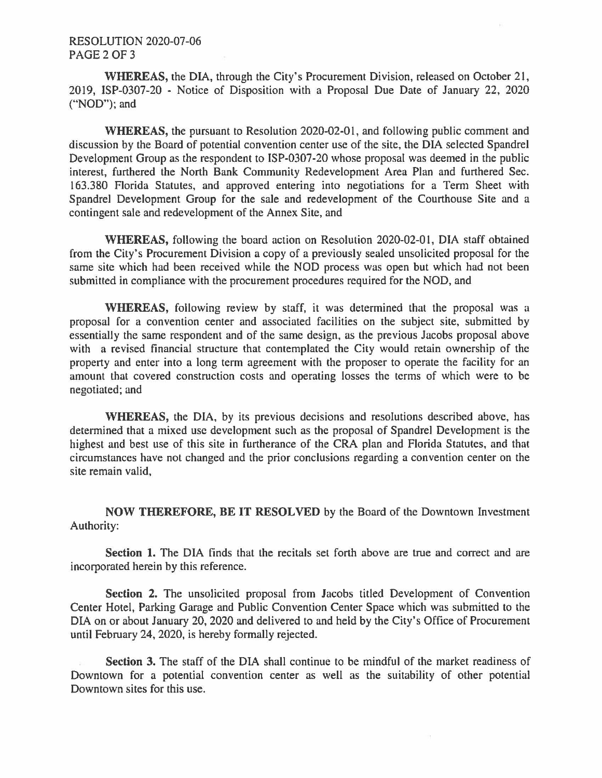## RESOLUTION 2020-07-06 PAGE 2 OF 3

**WHEREAS,** the DIA, through the City's Procurement Division, released on October 21, 2019, ISP-0307-20 - Notice of Disposition with a Proposal Due Date of January 22, 2020 ("NOD"); and

**WHEREAS,** the pursuant to Resolution 2020-02-01, and following public comment and discussion by the Board of potential convention center use of the site, the DIA selected Spandrel Development Group as the respondent to ISP-0307-20 whose proposal was deemed in the public interest, furthered the North Bank Community Redevelopment Area Plan and furthered Sec. 163.380 Florida Statutes, and approved entering into negotiations for a Term Sheet with Spandrel Development Group for the sale and redevelopment of the Courthouse Site and a contingent sale and redevelopment of the Annex Site, and

**WHEREAS,** following the board action on Resolution 2020-02-01, DIA staff obtained from the City's Procurement Division a copy of a previously sealed unsolicited proposal for the same site which had been received while the NOD process was open but which had not been submitted in compliance with the procurement procedures required for the NOD, and

**WHEREAS,** following review by staff, it was determined that the proposal was a proposal for a convention center and associated facilities on the subject site, submitted by essentially the same respondent and of the same design, as the previous Jacobs proposal above with a revised financial structure that contemplated the City would retain ownership of the property and enter into a long term agreement with the proposer to operate the facility for an amount that covered construction costs and operating losses the terms of which were to be negotiated; and

**WHEREAS,** the DIA, by its previous decisions and resolutions described above, has determined that a mixed use development such as the proposal of Spandrel Development is the highest and best use of this site in furtherance of the CRA plan and Florida Statutes, and that circumstances have not changed and the prior conclusions regarding a convention center on the site remain valid,

**NOW THEREFORE, BE IT RESOLVED** by the Board of the Downtown Investment Authority:

**Section 1.** The DIA finds that the recitals set forth above are true and correct and are incorporated herein by this reference.

**Section 2.** The unsolicited proposal from Jacobs titled Development of Convention Center Hotel, Parking Garage and Public Convention Center Space which was submitted to the DIA on or about January 20, 2020 and delivered to and held by the City's Office of Procurement until February 24, 2020, is hereby formally rejected.

**Section 3.** The staff of the DIA shall continue to be mindful of the market readiness of Downtown for a potential convention center as well as the suitability of other potential Downtown sites for this use.